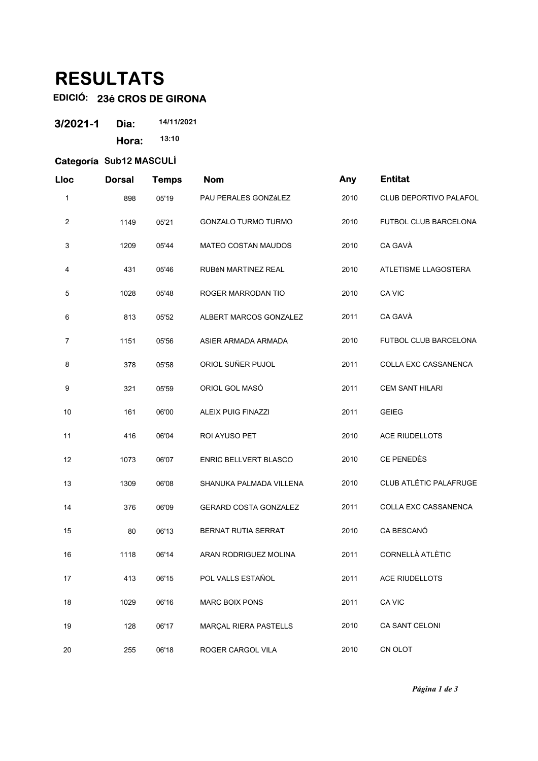## **RESULTATS**

## **EDICIÓ: 23é CROS DE GIRONA**

| 3/2021-1 | Dia:  | 14/11/2021 |
|----------|-------|------------|
|          | Hora: | 13:10      |

## **Categoría Sub12 MASCULÍ**

| Lloc           | <b>Dorsal</b> | <b>Temps</b> | <b>Nom</b>                   | Any  | <b>Entitat</b>                |
|----------------|---------------|--------------|------------------------------|------|-------------------------------|
| 1              | 898           | 05'19        | PAU PERALES GONZáLEZ         | 2010 | CLUB DEPORTIVO PALAFOL        |
| 2              | 1149          | 05'21        | <b>GONZALO TURMO TURMO</b>   | 2010 | <b>FUTBOL CLUB BARCELONA</b>  |
| 3              | 1209          | 05'44        | MATEO COSTAN MAUDOS          | 2010 | CA GAVÀ                       |
| 4              | 431           | 05'46        | RUBÉN MARTÍNEZ REAL          | 2010 | ATLETISME LLAGOSTERA          |
| 5              | 1028          | 05'48        | ROGER MARRODAN TIO           | 2010 | CA VIC                        |
| 6              | 813           | 05'52        | ALBERT MARCOS GONZALEZ       | 2011 | CA GAVÀ                       |
| $\overline{7}$ | 1151          | 05'56        | ASIER ARMADA ARMADA          | 2010 | FUTBOL CLUB BARCELONA         |
| 8              | 378           | 05'58        | ORIOL SUÑER PUJOL            | 2011 | COLLA EXC CASSANENCA          |
| 9              | 321           | 05'59        | ORIOL GOL MASÓ               | 2011 | <b>CEM SANT HILARI</b>        |
| 10             | 161           | 06'00        | <b>ALEIX PUIG FINAZZI</b>    | 2011 | <b>GEIEG</b>                  |
| 11             | 416           | 06'04        | ROI AYUSO PET                | 2010 | <b>ACE RIUDELLOTS</b>         |
| 12             | 1073          | 06'07        | ENRIC BELLVERT BLASCO        | 2010 | CE PENEDÈS                    |
| 13             | 1309          | 06'08        | SHANUKA PALMADA VILLENA      | 2010 | <b>CLUB ATLÈTIC PALAFRUGE</b> |
| 14             | 376           | 06'09        | <b>GERARD COSTA GONZALEZ</b> | 2011 | COLLA EXC CASSANENCA          |
| 15             | 80            | 06'13        | BERNAT RUTIA SERRAT          | 2010 | CA BESCANÓ                    |
| 16             | 1118          | 06'14        | ARAN RODRIGUEZ MOLINA        | 2011 | <b>CORNELLÀ ATLÈTIC</b>       |
| 17             | 413           | 06'15        | POL VALLS ESTAÑOL            | 2011 | ACE RIUDELLOTS                |
| 18             | 1029          | 06'16        | <b>MARC BOIX PONS</b>        | 2011 | CA VIC                        |
| 19             | 128           | 06'17        | MARÇAL RIERA PASTELLS        | 2010 | CA SANT CELONI                |
| 20             | 255           | 06'18        | ROGER CARGOL VILA            | 2010 | CN OLOT                       |

*Página 1 de 3*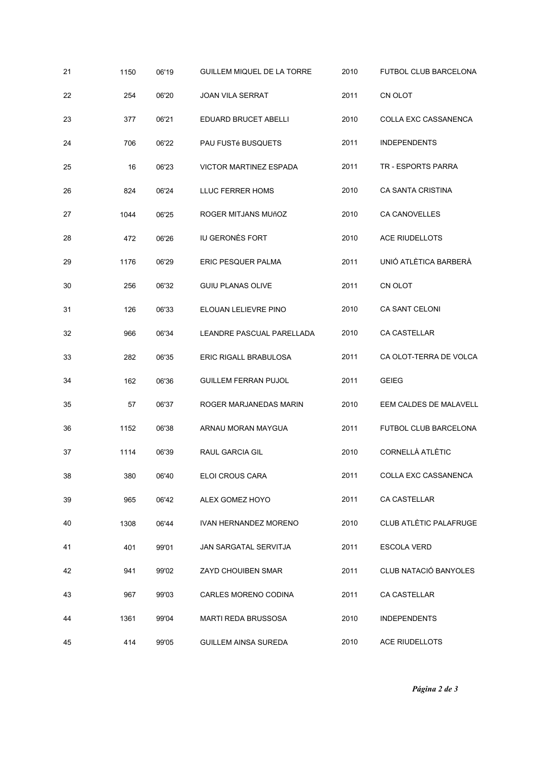| 21 | 1150 | 06'19 | GUILLEM MIQUEL DE LA TORRE    | 2010 | <b>FUTBOL CLUB BARCELONA</b> |
|----|------|-------|-------------------------------|------|------------------------------|
| 22 | 254  | 06'20 | <b>JOAN VILA SERRAT</b>       | 2011 | CN OLOT                      |
| 23 | 377  | 06'21 | EDUARD BRUCET ABELLI          | 2010 | COLLA EXC CASSANENCA         |
| 24 | 706  | 06'22 | <b>PAU FUSTé BUSQUETS</b>     | 2011 | <b>INDEPENDENTS</b>          |
| 25 | 16   | 06'23 | <b>VICTOR MARTINEZ ESPADA</b> | 2011 | <b>TR - ESPORTS PARRA</b>    |
| 26 | 824  | 06'24 | LLUC FERRER HOMS              | 2010 | CA SANTA CRISTINA            |
| 27 | 1044 | 06'25 | ROGER MITJANS MUñOZ           | 2010 | CA CANOVELLES                |
| 28 | 472  | 06'26 | <b>IU GERONÈS FORT</b>        | 2010 | ACE RIUDELLOTS               |
| 29 | 1176 | 06'29 | ERIC PESQUER PALMA            | 2011 | UNIÓ ATLÈTICA BARBERÀ        |
| 30 | 256  | 06'32 | <b>GUIU PLANAS OLIVE</b>      | 2011 | CN OLOT                      |
| 31 | 126  | 06'33 | ELOUAN LELIEVRE PINO          | 2010 | CA SANT CELONI               |
| 32 | 966  | 06'34 | LEANDRE PASCUAL PARELLADA     | 2010 | CA CASTELLAR                 |
| 33 | 282  | 06'35 | ERIC RIGALL BRABULOSA         | 2011 | CA OLOT-TERRA DE VOLCA       |
| 34 | 162  | 06'36 | <b>GUILLEM FERRAN PUJOL</b>   | 2011 | <b>GEIEG</b>                 |
| 35 | 57   | 06'37 | ROGER MARJANEDAS MARIN        | 2010 | EEM CALDES DE MALAVELL       |
| 36 | 1152 | 06'38 | ARNAU MORAN MAYGUA            | 2011 | FUTBOL CLUB BARCELONA        |
| 37 | 1114 | 06'39 | <b>RAUL GARCIA GIL</b>        | 2010 | CORNELLÀ ATLÈTIC             |
| 38 | 380  | 06'40 | ELOI CROUS CARA               | 2011 | COLLA EXC CASSANENCA         |
| 39 | 965  | 06'42 | ALEX GOMEZ HOYO               | 2011 | CA CASTELLAR                 |
| 40 | 1308 | 06'44 | IVAN HERNANDEZ MORENO         | 2010 | CLUB ATLÈTIC PALAFRUGE       |
| 41 | 401  | 99'01 | JAN SARGATAL SERVITJA         | 2011 | <b>ESCOLA VERD</b>           |
| 42 | 941  | 99'02 | ZAYD CHOUIBEN SMAR            | 2011 | CLUB NATACIÓ BANYOLES        |
| 43 | 967  | 99'03 | CARLES MORENO CODINA          | 2011 | CA CASTELLAR                 |
| 44 | 1361 | 99'04 | <b>MARTI REDA BRUSSOSA</b>    | 2010 | <b>INDEPENDENTS</b>          |
| 45 | 414  | 99'05 | <b>GUILLEM AINSA SUREDA</b>   | 2010 | <b>ACE RIUDELLOTS</b>        |